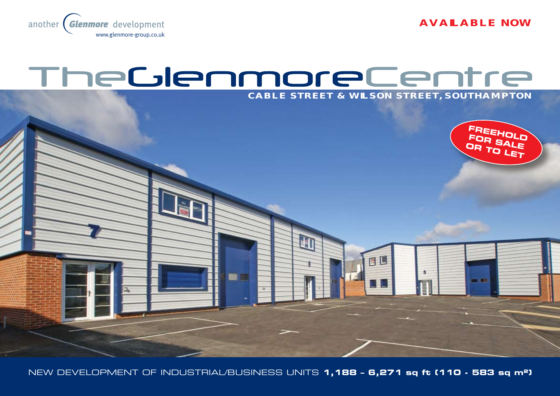**AVailable NOW**



# TheGlenmoreCentre



New development of industrial/business units **1,188 – 6,271 sq ft (110 - 583 sq m²)**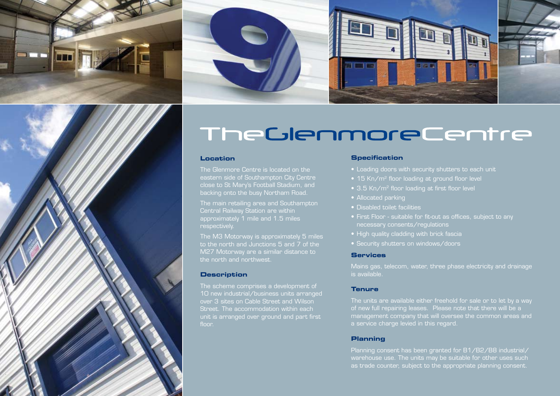





#### **Location**

The Glenmore Centre is located on the eastern side of Southampton City Centre close to St Mary's Football Stadium, and

Central Railway Station are within approximately 1 mile and 1.5 miles respectively.

The M3 Motorway is approximately 5 miles to the north and Junctions 5 and 7 of the M27 Motorway are a similar distance to the north and northwest.

#### **Description**

10 new industrial/business units arranged over 3 sites on Cable Street and Wilson Street. The accommodation within each unit is arranged over ground and part first floor.

#### **Specification**

- 
- 
- 3.5 Kn/m<sup>2</sup> floor loading at first floor level
- Allocated parking
- Disabled toilet facilities
- First Floor suitable for fit-out as offices, subject to any necessary consents/regulations
- 
- Security shutters on windows/doors

### **Services**

Mains gas, telecom, water, three phase electricity and drainage is available.

### **Tenure**

of new full repairing leases. Please note that there will be a management company that will oversee the common areas and a service charge levied in this regard.

#### **Planning**

Planning consent has been granted for B1/B2/B8 industrial/ warehouse use. The units may be suitable for other uses such as trade counter, subject to the appropriate planning consent.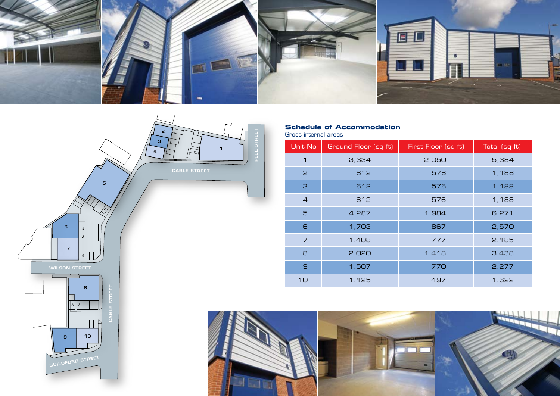



## **Schedule of Accommodation**

Gross internal areas

| Unit No        | Ground Floor (sq ft) | First Floor (sq ft) | Total (sq ft) |
|----------------|----------------------|---------------------|---------------|
| 1              | 3,334                | 2,050               | 5,384         |
| $\mathsf{P}$   | 612                  | 576                 | 1,188         |
| З              | 612                  | 576                 | 1,188         |
| $\overline{4}$ | 612                  | 576                 | 1,188         |
| $\overline{5}$ | 4,287                | 1,984               | 6,271         |
| 6              | 1,703                | 867                 | 2,570         |
| $\overline{7}$ | 1,408                | 777                 | 2,185         |
| 8              | 2,020                | 1,418               | 3,438         |
| $\mathbf{G}$   | 1,507                | 770                 | 2,277         |
| 10             | 1,125                | 497                 | 1,622         |